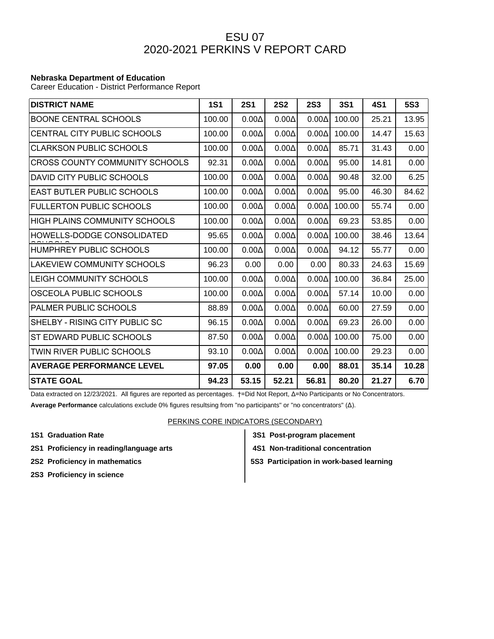## ESU 07 2020-2021 PERKINS V REPORT CARD

## **Nebraska Department of Education**

Career Education - District Performance Report

| <b>DISTRICT NAME</b>              | <b>1S1</b> | <b>2S1</b>   | <b>2S2</b>   | <b>2S3</b>   | <b>3S1</b> | 4S1   | <b>5S3</b> |
|-----------------------------------|------------|--------------|--------------|--------------|------------|-------|------------|
| <b>BOONE CENTRAL SCHOOLS</b>      | 100.00     | $0.00\Delta$ | $0.00\Delta$ | $0.00\Delta$ | 100.00     | 25.21 | 13.95      |
| CENTRAL CITY PUBLIC SCHOOLS       | 100.00     | $0.00\Delta$ | $0.00\Delta$ | $0.00\Delta$ | 100.00     | 14.47 | 15.63      |
| <b>CLARKSON PUBLIC SCHOOLS</b>    | 100.00     | $0.00\Delta$ | $0.00\Delta$ | $0.00\Delta$ | 85.71      | 31.43 | 0.00       |
| CROSS COUNTY COMMUNITY SCHOOLS    | 92.31      | $0.00\Delta$ | $0.00\Delta$ | $0.00\Delta$ | 95.00      | 14.81 | 0.00       |
| DAVID CITY PUBLIC SCHOOLS         | 100.00     | $0.00\Delta$ | $0.00\Delta$ | $0.00\Delta$ | 90.48      | 32.00 | 6.25       |
| <b>EAST BUTLER PUBLIC SCHOOLS</b> | 100.00     | $0.00\Delta$ | $0.00\Delta$ | $0.00\Delta$ | 95.00      | 46.30 | 84.62      |
| <b>FULLERTON PUBLIC SCHOOLS</b>   | 100.00     | $0.00\Delta$ | $0.00\Delta$ | $0.00\Delta$ | 100.00     | 55.74 | 0.00       |
| HIGH PLAINS COMMUNITY SCHOOLS     | 100.00     | $0.00\Delta$ | $0.00\Delta$ | $0.00\Delta$ | 69.23      | 53.85 | 0.00       |
| HOWELLS-DODGE CONSOLIDATED        | 95.65      | $0.00\Delta$ | $0.00\Delta$ | $0.00\Delta$ | 100.00     | 38.46 | 13.64      |
| HUMPHREY PUBLIC SCHOOLS           | 100.00     | $0.00\Delta$ | $0.00\Delta$ | $0.00\Delta$ | 94.12      | 55.77 | 0.00       |
| LAKEVIEW COMMUNITY SCHOOLS        | 96.23      | 0.00         | 0.00         | 0.00         | 80.33      | 24.63 | 15.69      |
| LEIGH COMMUNITY SCHOOLS           | 100.00     | $0.00\Delta$ | $0.00\Delta$ | $0.00\Delta$ | 100.00     | 36.84 | 25.00      |
| OSCEOLA PUBLIC SCHOOLS            | 100.00     | $0.00\Delta$ | $0.00\Delta$ | $0.00\Delta$ | 57.14      | 10.00 | 0.00       |
| <b>PALMER PUBLIC SCHOOLS</b>      | 88.89      | $0.00\Delta$ | $0.00\Delta$ | $0.00\Delta$ | 60.00      | 27.59 | 0.00       |
| SHELBY - RISING CITY PUBLIC SC    | 96.15      | $0.00\Delta$ | $0.00\Delta$ | $0.00\Delta$ | 69.23      | 26.00 | 0.00       |
| ST EDWARD PUBLIC SCHOOLS          | 87.50      | $0.00\Delta$ | $0.00\Delta$ | $0.00\Delta$ | 100.00     | 75.00 | 0.00       |
| TWIN RIVER PUBLIC SCHOOLS         | 93.10      | $0.00\Delta$ | $0.00\Delta$ | $0.00\Delta$ | 100.00     | 29.23 | 0.00       |
| <b>AVERAGE PERFORMANCE LEVEL</b>  | 97.05      | 0.00         | 0.00         | 0.00         | 88.01      | 35.14 | 10.28      |
| <b>ISTATE GOAL</b>                | 94.23      | 53.15        | 52.21        | 56.81        | 80.20      | 21.27 | 6.70       |

Data extracted on 12/23/2021. All figures are reported as percentages. †=Did Not Report, Δ=No Participants or No Concentrators.

**Average Performance** calculations exclude 0% figures resultsing from "no participants" or "no concentrators" (Δ).

## PERKINS CORE INDICATORS (SECONDARY)

- 
- 2S1 Proficiency in reading/language arts **4S1 Non-traditional concentration**
- 
- **2S3 Proficiency in science**
- **1S1 Graduation Rate 3S1 Post-program placement**
	-
- **2S2 Proficiency in mathematics**  $\begin{vmatrix} 553 \end{vmatrix}$  **5S3 Participation in work-based learning**